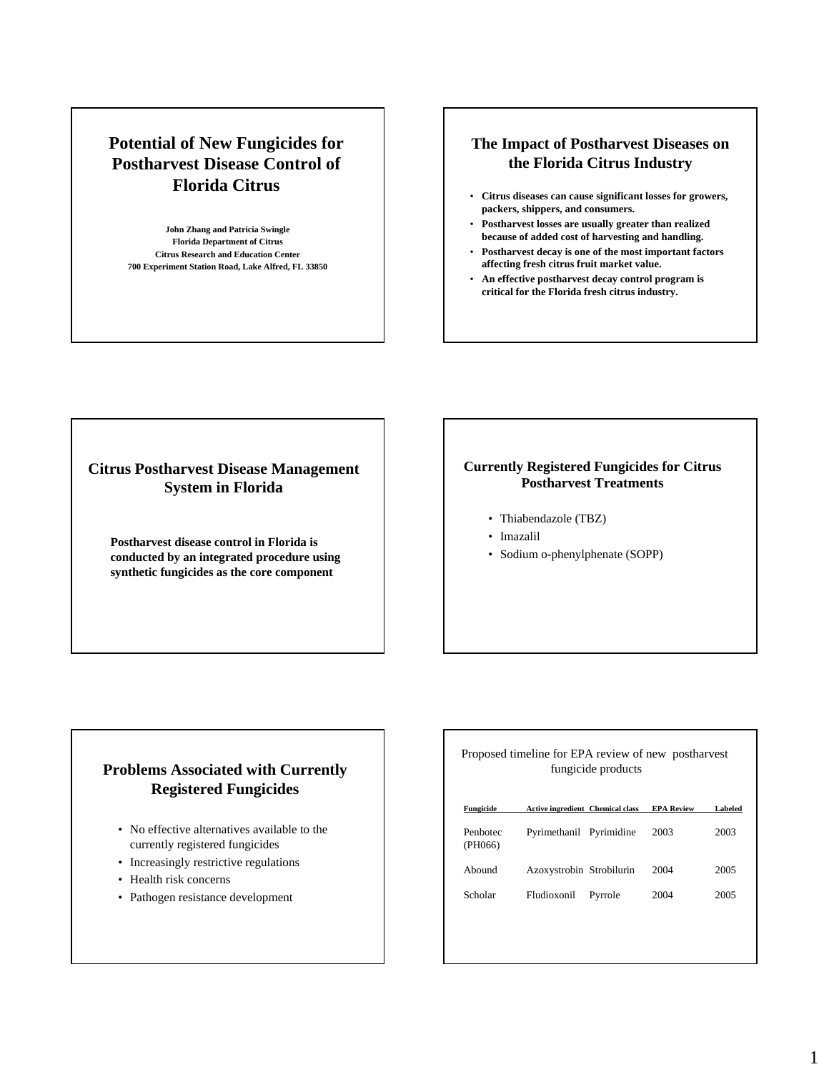# **Potential of New Fungicides for Postharvest Disease Control of Florida Citrus**

**John Zhang and Patricia Swingle Florida Department of Citrus Citrus Research and Education Center 700 Experiment Station Road, Lake Alfred, FL 33850**

## **The Impact of Postharvest Diseases on the Florida Citrus Industry**

- **Citrus diseases can cause significant losses for growers, packers, shippers, and consumers.**
- **Postharvest losses are usually greater than realized because of added cost of harvesting and handling.**
- **Postharvest decay is one of the most important factors affecting fresh citrus fruit market value.**
- **An effective postharvest decay control program is critical for the Florida fresh citrus industry.**

## **Citrus Postharvest Disease Management System in Florida**

**Postharvest disease control in Florida is conducted by an integrated procedure using synthetic fungicides as the core component**

### **Currently Registered Fungicides for Citrus Postharvest Treatments**

- Thiabendazole (TBZ)
- Imazalil
- Sodium o-phenylphenate (SOPP)

## **Problems Associated with Currently Registered Fungicides**

- No effective alternatives available to the currently registered fungicides
- Increasingly restrictive regulations
- Health risk concerns
- Pathogen resistance development

|                     | Proposed timeline for EPA review of new postharvest | fungicide products |                   |         |
|---------------------|-----------------------------------------------------|--------------------|-------------------|---------|
| Fungicide           | Active ingredient Chemical class                    |                    | <b>EPA Review</b> | Labeled |
| Penhotec<br>(PH066) | Pyrimethanil Pyrimidine                             |                    | 2003              | 2003    |
| Abound              | Azoxystrobin Strobilurin                            |                    | 2004              | 2005    |
| Scholar             | Fludioxonil                                         | Pyrrole            | 2004              | 2005    |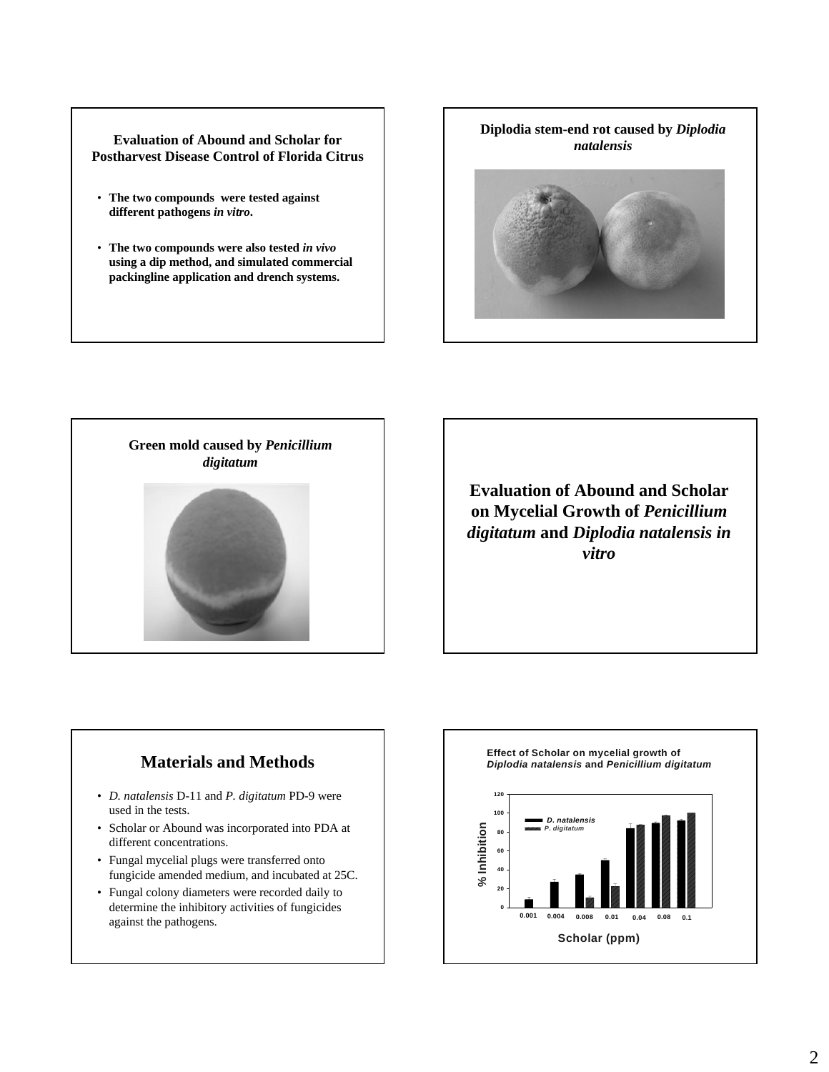#### **Evaluation of Abound and Scholar for Postharvest Disease Control of Florida Citrus**

- **The two compounds were tested against different pathogens** *in vitro***.**
- **The two compounds were also tested** *in vivo* **using a dip method, and simulated commercial packingline application and drench systems.**





**Evaluation of Abound and Scholar on Mycelial Growth of** *Penicillium digitatum* **and** *Diplodia natalensis in vitro*

# **Materials and Methods**

- *D. natalensis* D-11 and *P. digitatum* PD-9 were used in the tests.
- Scholar or Abound was incorporated into PDA at different concentrations.
- Fungal mycelial plugs were transferred onto fungicide amended medium, and incubated at 25C.
- Fungal colony diameters were recorded daily to determine the inhibitory activities of fungicides against the pathogens.

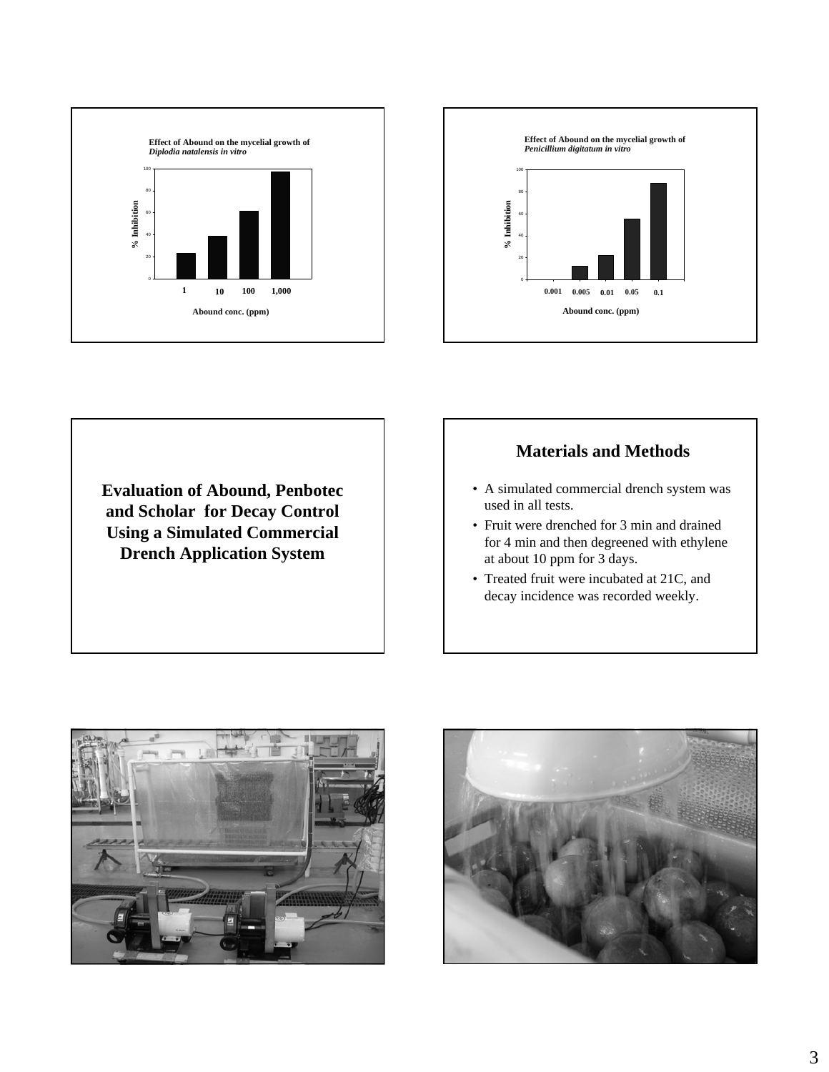



**Evaluation of Abound, Penbotec and Scholar for Decay Control Using a Simulated Commercial Drench Application System**

## **Materials and Methods**

- A simulated commercial drench system was used in all tests.
- Fruit were drenched for 3 min and drained for 4 min and then degreened with ethylene at about 10 ppm for 3 days.
- Treated fruit were incubated at 21C, and decay incidence was recorded weekly.



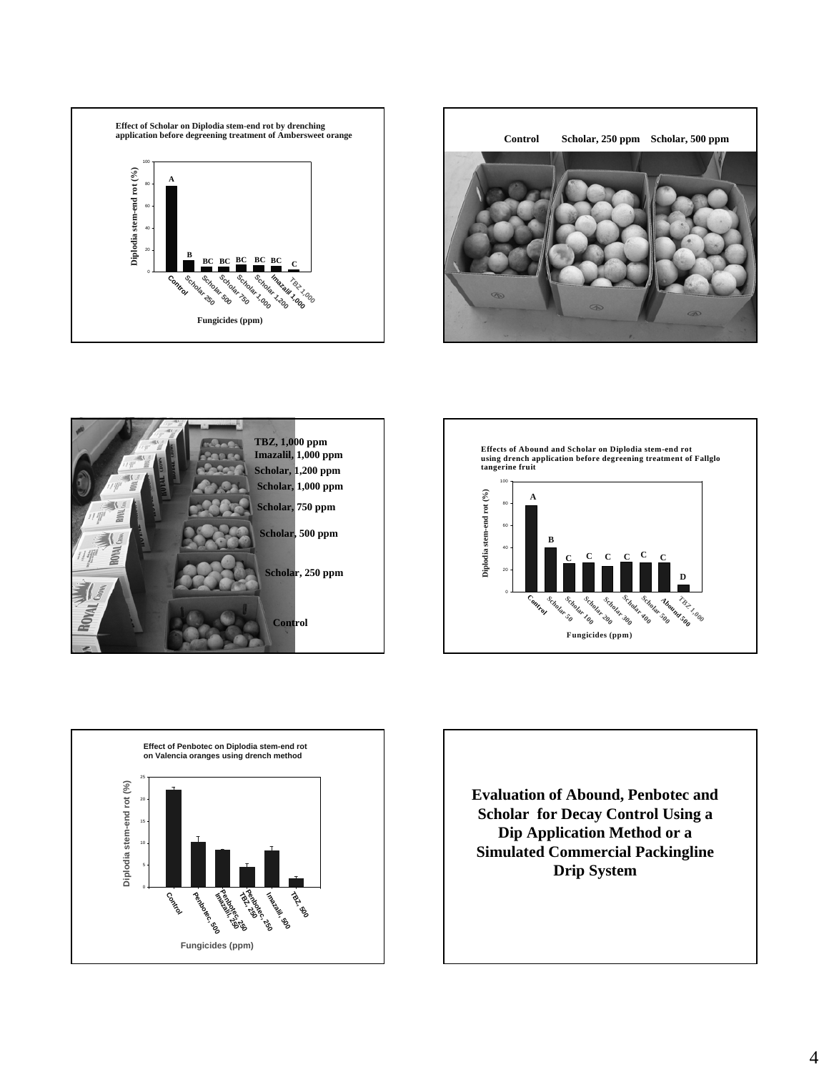









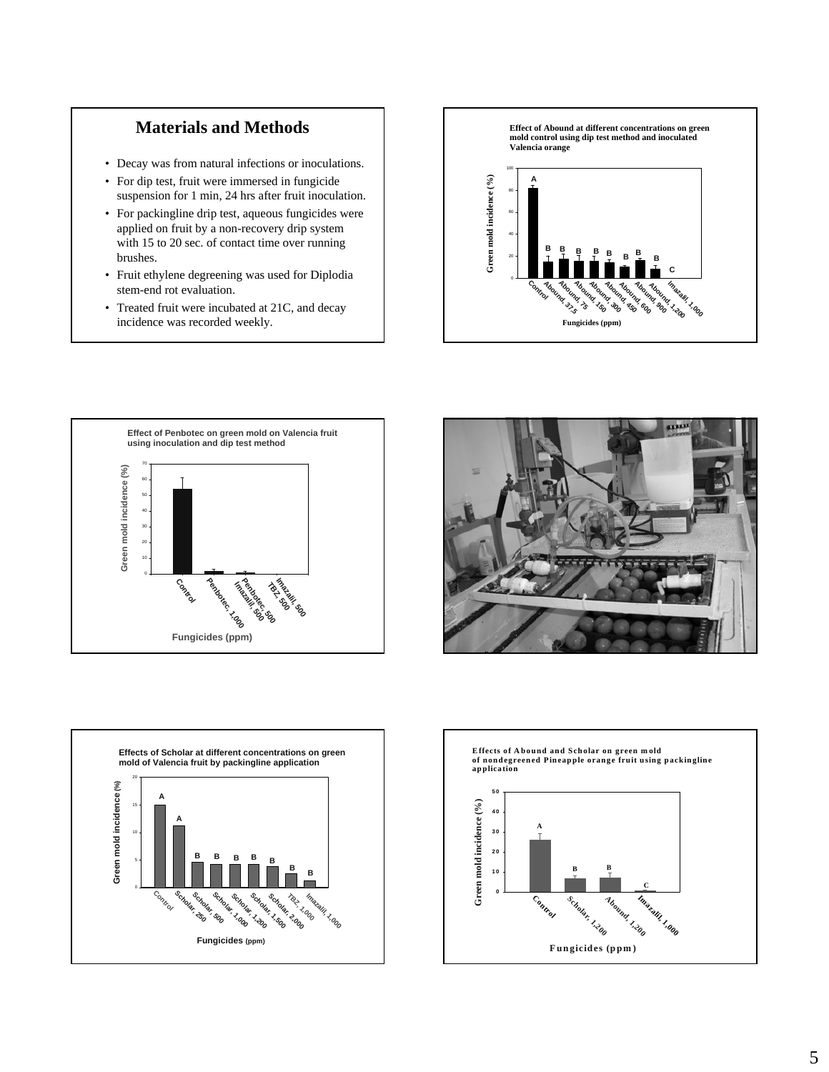## **Materials and Methods**

- Decay was from natural infections or inoculations.
- For dip test, fruit were immersed in fungicide suspension for 1 min, 24 hrs after fruit inoculation.
- For packingline drip test, aqueous fungicides were applied on fruit by a non-recovery drip system with 15 to 20 sec. of contact time over running brushes.
- Fruit ethylene degreening was used for Diplodia stem-end rot evaluation.
- Treated fruit were incubated at 21C, and decay incidence was recorded weekly.









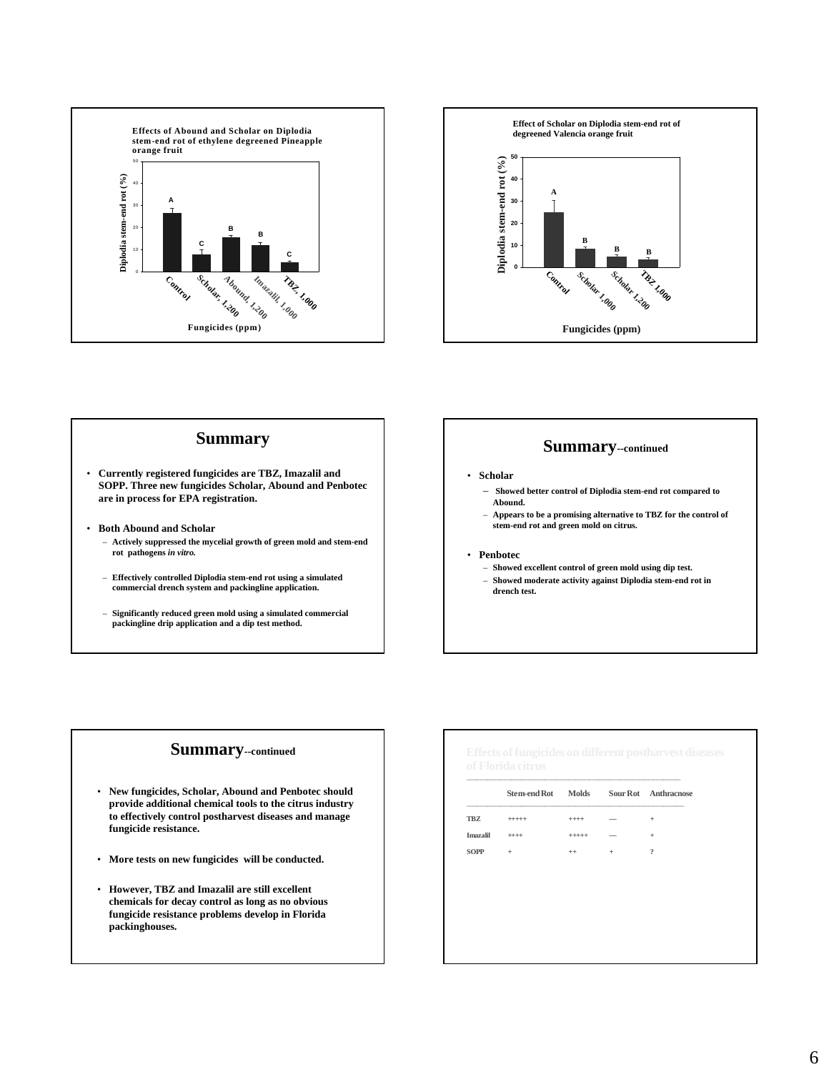



#### **Summary**

- **Currently registered fungicides are TBZ, Imazalil and SOPP. Three new fungicides Scholar, Abound and Penbotec are in process for EPA registration.**
- **Both Abound and Scholar** 
	- **Actively suppressed the mycelial growth of green mold and stem-end rot pathogens** *in vitro.*
	- **Effectively controlled Diplodia stem-end rot using a simulated commercial drench system and packingline application.**
	- **Significantly reduced green mold using a simulated commercial packingline drip application and a dip test method.**

#### **Summary--continued**

- **Scholar**
	- **Showed better control of Diplodia stem-end rot compared to Abound.**
	- **Appears to be a promising alternative to TBZ for the control of stem-end rot and green mold on citrus.**
- **Penbotec**
	- **Showed excellent control of green mold using dip test.** – **Showed moderate activity against Diplodia stem-end rot in**
	- **drench test.**

#### **Summary--continued**

- **New fungicides, Scholar, Abound and Penbotec should provide additional chemical tools to the citrus industry to effectively control postharvest diseases and manage fungicide resistance.**
- **More tests on new fungicides will be conducted.**
- **However, TBZ and Imazalil are still excellent chemicals for decay control as long as no obvious fungicide resistance problems develop in Florida packinghouses.**

|             | Stem-end Rot Molds |          |                          | Sour Rot Anthracnose    |
|-------------|--------------------|----------|--------------------------|-------------------------|
| TBZ         | $+++++$            | $^{+++}$ | $\overline{\phantom{a}}$ | $\pm$                   |
| Imazalil    | $***$              | $+++++$  | $\overline{\phantom{a}}$ | $\ddot{}$               |
| <b>SOPP</b> | $\ddot{}$          | $^{++}$  | $\ddot{}$                | $\overline{\mathbf{?}}$ |